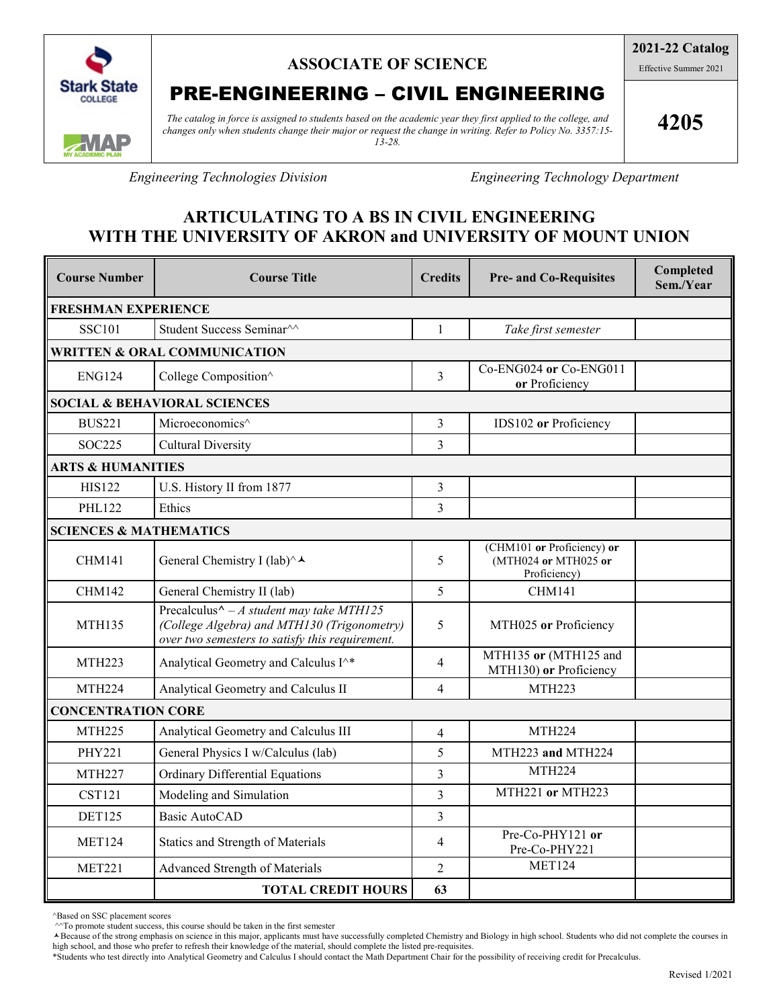

## **ASSOCIATE OF SCIENCE**

# PRE-ENGINEERING – CIVIL ENGINEERING

*The catalog in force is assigned to students based on the academic year they first applied to the college, and changes only when students change their major or request the change in writing. Refer to Policy No. 3357:15- 13-28.*

**2021-22 Catalog** Effective Summer 2021

**4205**

*Engineering Technologies Division Engineering Technology Department*

## **ARTICULATING TO A BS IN CIVIL ENGINEERING WITH THE UNIVERSITY OF AKRON and UNIVERSITY OF MOUNT UNION**

| <b>Course Number</b>                    | <b>Course Title</b>                                                                                                                                                      | <b>Credits</b> | <b>Pre- and Co-Requisites</b>                                      | Completed<br>Sem./Year |  |  |  |
|-----------------------------------------|--------------------------------------------------------------------------------------------------------------------------------------------------------------------------|----------------|--------------------------------------------------------------------|------------------------|--|--|--|
| <b>FRESHMAN EXPERIENCE</b>              |                                                                                                                                                                          |                |                                                                    |                        |  |  |  |
| <b>SSC101</b>                           | Student Success Seminar <sup>^^</sup>                                                                                                                                    | $\mathbf{1}$   | Take first semester                                                |                        |  |  |  |
| <b>WRITTEN &amp; ORAL COMMUNICATION</b> |                                                                                                                                                                          |                |                                                                    |                        |  |  |  |
| <b>ENG124</b>                           | College Composition^                                                                                                                                                     | $\overline{3}$ | Co-ENG024 or Co-ENG011<br>or Proficiency                           |                        |  |  |  |
| <b>SOCIAL &amp; BEHAVIORAL SCIENCES</b> |                                                                                                                                                                          |                |                                                                    |                        |  |  |  |
| <b>BUS221</b>                           | Microeconomics^                                                                                                                                                          | $\mathfrak{Z}$ | IDS102 or Proficiency                                              |                        |  |  |  |
| SOC225                                  | <b>Cultural Diversity</b>                                                                                                                                                | $\overline{3}$ |                                                                    |                        |  |  |  |
| <b>ARTS &amp; HUMANITIES</b>            |                                                                                                                                                                          |                |                                                                    |                        |  |  |  |
| <b>HIS122</b>                           | U.S. History II from 1877                                                                                                                                                | $\mathfrak{Z}$ |                                                                    |                        |  |  |  |
| <b>PHL122</b>                           | Ethics                                                                                                                                                                   | $\overline{3}$ |                                                                    |                        |  |  |  |
| <b>SCIENCES &amp; MATHEMATICS</b>       |                                                                                                                                                                          |                |                                                                    |                        |  |  |  |
| <b>CHM141</b>                           | General Chemistry I (lab)^↓                                                                                                                                              | 5              | (CHM101 or Proficiency) or<br>(MTH024 or MTH025 or<br>Proficiency) |                        |  |  |  |
| <b>CHM142</b>                           | General Chemistry II (lab)                                                                                                                                               | 5              | CHM141                                                             |                        |  |  |  |
| <b>MTH135</b>                           | Precalculus <sup><math>\wedge</math></sup> - A student may take MTH125<br>(College Algebra) and MTH130 (Trigonometry)<br>over two semesters to satisfy this requirement. | 5              | MTH025 or Proficiency                                              |                        |  |  |  |
| <b>MTH223</b>                           | Analytical Geometry and Calculus I^*                                                                                                                                     | $\overline{4}$ | MTH135 or (MTH125 and<br>MTH130) or Proficiency                    |                        |  |  |  |
| <b>MTH224</b>                           | Analytical Geometry and Calculus II                                                                                                                                      | $\overline{4}$ | <b>MTH223</b>                                                      |                        |  |  |  |
| <b>CONCENTRATION CORE</b>               |                                                                                                                                                                          |                |                                                                    |                        |  |  |  |
| <b>MTH225</b>                           | Analytical Geometry and Calculus III                                                                                                                                     | $\overline{4}$ | <b>MTH224</b>                                                      |                        |  |  |  |
| <b>PHY221</b>                           | General Physics I w/Calculus (lab)                                                                                                                                       | 5              | MTH223 and MTH224                                                  |                        |  |  |  |
| <b>MTH227</b>                           | <b>Ordinary Differential Equations</b>                                                                                                                                   | 3              | <b>MTH224</b>                                                      |                        |  |  |  |
| <b>CST121</b>                           | Modeling and Simulation                                                                                                                                                  | $\overline{3}$ | MTH221 or MTH223                                                   |                        |  |  |  |
| <b>DET125</b>                           | <b>Basic AutoCAD</b>                                                                                                                                                     | $\overline{3}$ |                                                                    |                        |  |  |  |
| <b>MET124</b>                           | Statics and Strength of Materials                                                                                                                                        | $\overline{4}$ | Pre-Co-PHY121 or<br>Pre-Co-PHY221                                  |                        |  |  |  |
| <b>MET221</b>                           | <b>Advanced Strength of Materials</b>                                                                                                                                    | $\overline{2}$ | <b>MET124</b>                                                      |                        |  |  |  |
|                                         | <b>TOTAL CREDIT HOURS</b>                                                                                                                                                | 63             |                                                                    |                        |  |  |  |

^Based on SSC placement scores

 $\sim$ To promote student success, this course should be taken in the first semester

\*Students who test directly into Analytical Geometry and Calculus I should contact the Math Department Chair for the possibility of receiving credit for Precalculus.

Because of the strong emphasis on science in this major, applicants must have successfully completed Chemistry and Biology in high school. Students who did not complete the courses in high school, and those who prefer to refresh their knowledge of the material, should complete the listed pre-requisites.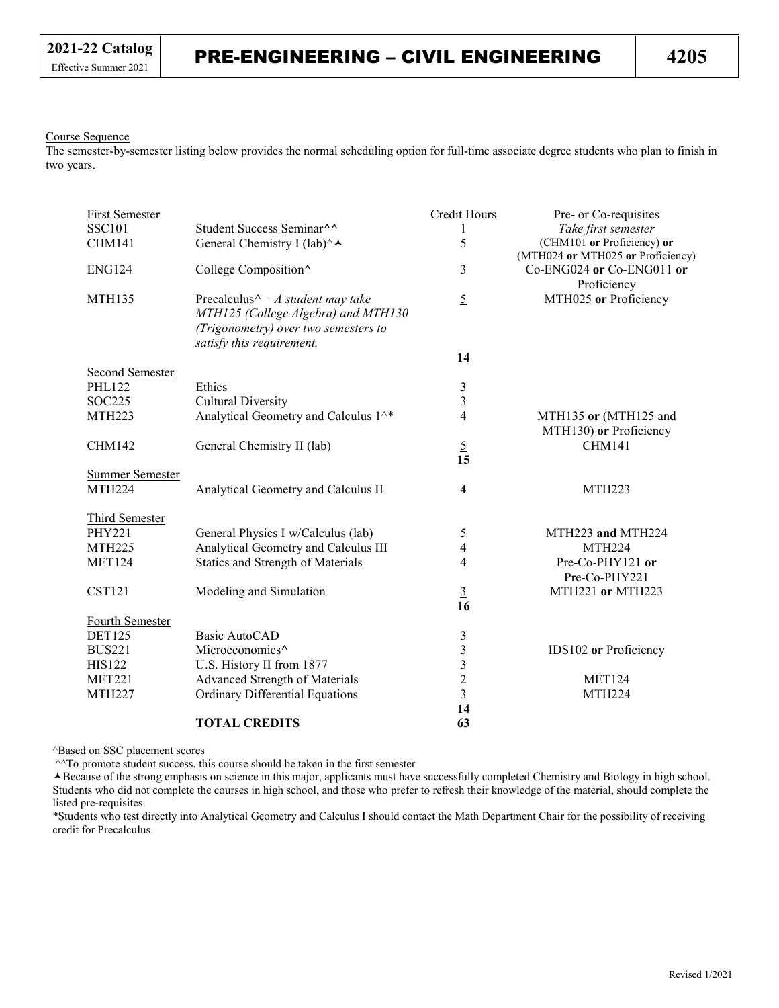#### Course Sequence

The semester-by-semester listing below provides the normal scheduling option for full-time associate degree students who plan to finish in two years.

| <b>First Semester</b>  |                                                                                                                                                                             | <b>Credit Hours</b> | Pre- or Co-requisites                                           |
|------------------------|-----------------------------------------------------------------------------------------------------------------------------------------------------------------------------|---------------------|-----------------------------------------------------------------|
| <b>SSC101</b>          | Student Success Seminar <sup>^^</sup>                                                                                                                                       | 1                   | Take first semester                                             |
| <b>CHM141</b>          | General Chemistry I (lab) $\wedge \rightarrow$                                                                                                                              | 5                   | (CHM101 or Proficiency) or<br>(MTH024 or MTH025 or Proficiency) |
| <b>ENG124</b>          | College Composition^                                                                                                                                                        | 3                   | Co-ENG024 or Co-ENG011 or<br>Proficiency                        |
| <b>MTH135</b>          | Precalculus <sup><math>\wedge</math></sup> – A student may take<br>MTH125 (College Algebra) and MTH130<br>(Trigonometry) over two semesters to<br>satisfy this requirement. | $\overline{5}$      | MTH025 or Proficiency                                           |
|                        |                                                                                                                                                                             | 14                  |                                                                 |
| <b>Second Semester</b> |                                                                                                                                                                             |                     |                                                                 |
| <b>PHL122</b>          | Ethics                                                                                                                                                                      | $\mathfrak{Z}$      |                                                                 |
| SOC225                 | <b>Cultural Diversity</b>                                                                                                                                                   | 3                   |                                                                 |
| <b>MTH223</b>          | Analytical Geometry and Calculus 1^*                                                                                                                                        | $\overline{4}$      | MTH135 or (MTH125 and<br>MTH130) or Proficiency                 |
| <b>CHM142</b>          | General Chemistry II (lab)                                                                                                                                                  | $\overline{5}$      | <b>CHM141</b>                                                   |
|                        |                                                                                                                                                                             | 15                  |                                                                 |
| Summer Semester        |                                                                                                                                                                             |                     |                                                                 |
| <b>MTH224</b>          | Analytical Geometry and Calculus II                                                                                                                                         | 4                   | <b>MTH223</b>                                                   |
| <b>Third Semester</b>  |                                                                                                                                                                             |                     |                                                                 |
| <b>PHY221</b>          | General Physics I w/Calculus (lab)                                                                                                                                          | 5                   | MTH223 and MTH224                                               |
| <b>MTH225</b>          | Analytical Geometry and Calculus III                                                                                                                                        | 4                   | <b>MTH224</b>                                                   |
| <b>MET124</b>          | Statics and Strength of Materials                                                                                                                                           | 4                   | Pre-Co-PHY121 or                                                |
|                        |                                                                                                                                                                             |                     | Pre-Co-PHY221                                                   |
| <b>CST121</b>          | Modeling and Simulation                                                                                                                                                     | $\overline{3}$      | MTH221 or MTH223                                                |
|                        |                                                                                                                                                                             | 16                  |                                                                 |
| Fourth Semester        |                                                                                                                                                                             |                     |                                                                 |
| <b>DET125</b>          | Basic AutoCAD                                                                                                                                                               | 3                   |                                                                 |
| <b>BUS221</b>          | Microeconomics <sup>^</sup>                                                                                                                                                 | 3                   | IDS102 or Proficiency                                           |
| <b>HIS122</b>          | U.S. History II from 1877                                                                                                                                                   | 3                   |                                                                 |
| <b>MET221</b>          | Advanced Strength of Materials                                                                                                                                              |                     | <b>MET124</b>                                                   |
| <b>MTH227</b>          | <b>Ordinary Differential Equations</b>                                                                                                                                      | $\frac{2}{3}$       | <b>MTH224</b>                                                   |
|                        |                                                                                                                                                                             | 14                  |                                                                 |
|                        | <b>TOTAL CREDITS</b>                                                                                                                                                        | 63                  |                                                                 |

^Based on SSC placement scores

^^To promote student success, this course should be taken in the first semester

Because of the strong emphasis on science in this major, applicants must have successfully completed Chemistry and Biology in high school. Students who did not complete the courses in high school, and those who prefer to refresh their knowledge of the material, should complete the listed pre-requisites.

\*Students who test directly into Analytical Geometry and Calculus I should contact the Math Department Chair for the possibility of receiving credit for Precalculus.